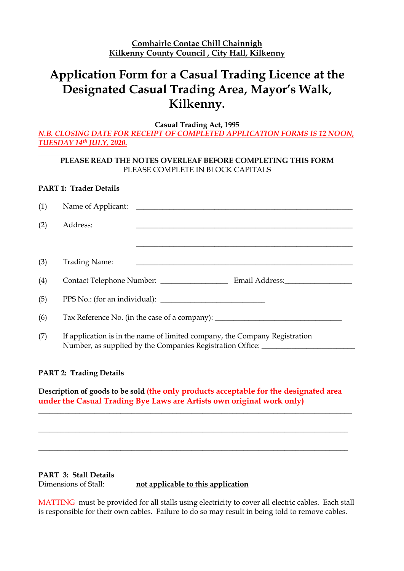## **Application Form for a Casual Trading Licence at the Designated Casual Trading Area, Mayor's Walk, Kilkenny.**

**Casual Trading Act, 1995**

*N.B. CLOSING DATE FOR RECEIPT OF COMPLETED APPLICATION FORMS IS 12 NOON, TUESDAY 14th JULY, 2020.*

### **PLEASE READ THE NOTES OVERLEAF BEFORE COMPLETING THIS FORM** PLEASE COMPLETE IN BLOCK CAPITALS

### **PART 1: Trader Details**

| (1)                            | Name of Applicant:<br><u> 1980 - Antonio Alemania, prima prestava a prestava a prestava a prestava a prestava a prestava a prestava a p</u>                    |  |  |  |
|--------------------------------|----------------------------------------------------------------------------------------------------------------------------------------------------------------|--|--|--|
| (2)                            | Address:                                                                                                                                                       |  |  |  |
|                                |                                                                                                                                                                |  |  |  |
| (3)                            | <b>Trading Name:</b><br><u> 1980 - John Stone, Amerikaansk politiker († 1908)</u>                                                                              |  |  |  |
| (4)                            | Contact Telephone Number: __________________<br>Email Address: No. 1997                                                                                        |  |  |  |
| (5)                            |                                                                                                                                                                |  |  |  |
| (6)                            | Tax Reference No. (in the case of a company): __________________________________                                                                               |  |  |  |
| (7)                            | If application is in the name of limited company, the Company Registration<br>Number, as supplied by the Companies Registration Office: ______________________ |  |  |  |
| <b>PART 2: Trading Details</b> |                                                                                                                                                                |  |  |  |

**Description of goods to be sold (the only products acceptable for the designated area under the Casual Trading Bye Laws are Artists own original work only)**

\_\_\_\_\_\_\_\_\_\_\_\_\_\_\_\_\_\_\_\_\_\_\_\_\_\_\_\_\_\_\_\_\_\_\_\_\_\_\_\_\_\_\_\_\_\_\_\_\_\_\_\_\_\_\_\_\_\_\_\_\_\_\_\_\_\_\_\_\_\_\_\_\_\_\_\_\_\_\_\_\_\_\_\_

\_\_\_\_\_\_\_\_\_\_\_\_\_\_\_\_\_\_\_\_\_\_\_\_\_\_\_\_\_\_\_\_\_\_\_\_\_\_\_\_\_\_\_\_\_\_\_\_\_\_\_\_\_\_\_\_\_\_\_\_\_\_\_\_\_\_\_\_\_\_\_\_\_\_\_\_\_\_\_\_\_\_\_

\_\_\_\_\_\_\_\_\_\_\_\_\_\_\_\_\_\_\_\_\_\_\_\_\_\_\_\_\_\_\_\_\_\_\_\_\_\_\_\_\_\_\_\_\_\_\_\_\_\_\_\_\_\_\_\_\_\_\_\_\_\_\_\_\_\_\_\_\_\_\_\_\_\_\_\_\_\_\_\_\_\_\_

**PART 3: Stall Details** Dimensions of Stall: **not applicable to this application**

MATTING must be provided for all stalls using electricity to cover all electric cables. Each stall is responsible for their own cables. Failure to do so may result in being told to remove cables.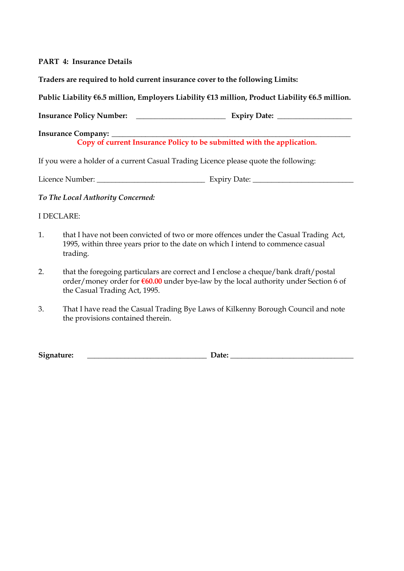### **PART 4: Insurance Details**

**Traders are required to hold current insurance cover to the following Limits:**

**Public Liability €6.5 million, Employers Liability €13 million, Product Liability €6.5 million.**

**Insurance Policy Number: \_\_\_\_\_\_\_\_\_\_\_\_\_\_\_\_\_\_\_\_\_\_\_\_ Expiry Date: \_\_\_\_\_\_\_\_\_\_\_\_\_\_\_\_\_\_\_\_**

**Insurance Company: Copy of current Insurance Policy to be submitted with the application.**

If you were a holder of a current Casual Trading Licence please quote the following:

Licence Number: \_\_\_\_\_\_\_\_\_\_\_\_\_\_\_\_\_\_\_\_\_\_\_\_\_\_\_\_\_ Expiry Date: \_\_\_\_\_\_\_\_\_\_\_\_\_\_\_\_\_\_\_\_\_\_\_\_\_\_\_

*To The Local Authority Concerned:*

### I DECLARE:

- 1. that I have not been convicted of two or more offences under the Casual Trading Act, 1995, within three years prior to the date on which I intend to commence casual trading.
- 2. that the foregoing particulars are correct and I enclose a cheque/bank draft/postal order/money order for **€60.00** under bye-law by the local authority under Section 6 of the Casual Trading Act, 1995.
- 3. That I have read the Casual Trading Bye Laws of Kilkenny Borough Council and note the provisions contained therein.

**Signature: \_\_\_\_\_\_\_\_\_\_\_\_\_\_\_\_\_\_\_\_\_\_\_\_\_\_\_\_\_\_\_\_ Date: \_\_\_\_\_\_\_\_\_\_\_\_\_\_\_\_\_\_\_\_\_\_\_\_\_\_\_\_\_\_\_\_\_**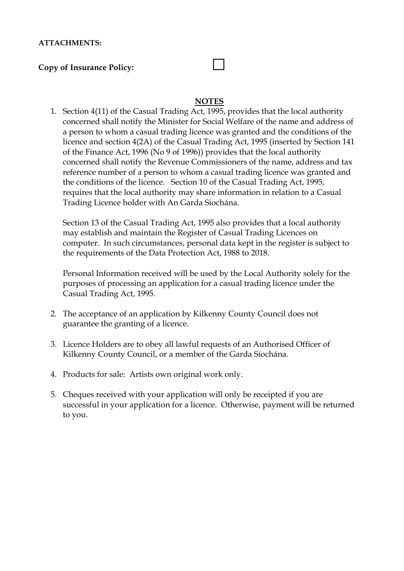### **ATTACHMENTS:**

### **Copy of Insurance Policy:**

# **NOTES**

1. Section 4(11) of the Casual Trading Act, 1995, provides that the local authority concerned shall notify the Minister for Social Welfare of the name and address of a person to whom a casual trading licence was granted and the conditions of the licence and section 4(2A) of the Casual Trading Act, 1995 (inserted by Section 141 of the Finance Act, 1996 (No 9 of 1996)) provides that the local authority concerned shall notify the Revenue Commissioners of the name, address and tax reference number of a person to whom a casual trading licence was granted and the conditions of the licence. Section 10 of the Casual Trading Act, 1995, requires that the local authority may share information in relation to a Casual Trading Licence holder with An Garda Siochána.

Section 13 of the Casual Trading Act, 1995 also provides that a local authority may establish and maintain the Register of Casual Trading Licences on computer. In such circumstances, personal data kept in the register is subject to the requirements of the Data Protection Act, 1988 to 2018.

Personal Information received will be used by the Local Authority solely for the purposes of processing an application for a casual trading licence under the Casual Trading Act, 1995.

- 2. The acceptance of an application by Kilkenny County Council does not guarantee the granting of a licence.
- 3. Licence Holders are to obey all lawful requests of an Authorised Officer of Kilkenny County Council, or a member of the Garda Síochána.
- 4. Products for sale: Artists own original work only.
- 5. Cheques received with your application will only be receipted if you are successful in your application for a licence. Otherwise, payment will be returned to you.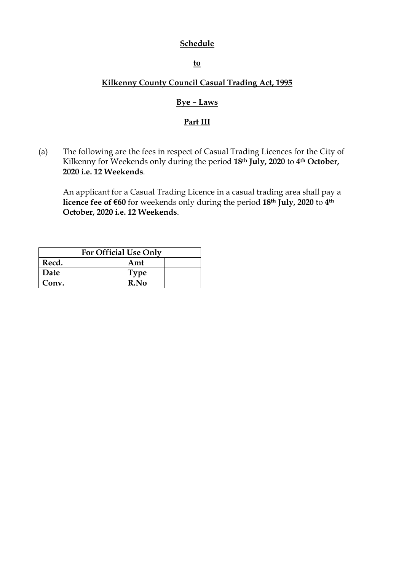### **Schedule**

**to** 

### **Kilkenny County Council Casual Trading Act, 1995**

### **Bye – Laws**

### **Part III**

(a) The following are the fees in respect of Casual Trading Licences for the City of Kilkenny for Weekends only during the period **18th July, 2020** to **4th October, 2020 i.e. 12 Weekends**.

An applicant for a Casual Trading Licence in a casual trading area shall pay a **licence fee of €60** for weekends only during the period **18th July, 2020** to **4th October, 2020 i.e. 12 Weekends**.

| <b>For Official Use Only</b> |  |             |  |  |
|------------------------------|--|-------------|--|--|
| Recd.                        |  | Amt         |  |  |
| Date                         |  | <b>Type</b> |  |  |
| Conv.                        |  | R.No        |  |  |